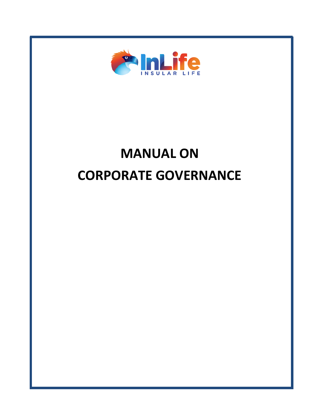

# **MANUAL ON CORPORATE GOVERNANCE**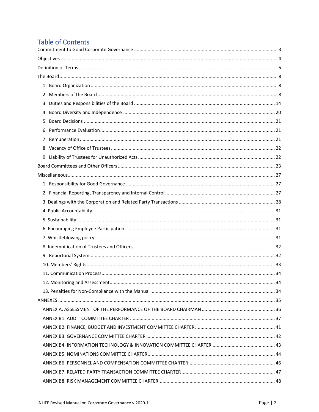## **Table of Contents**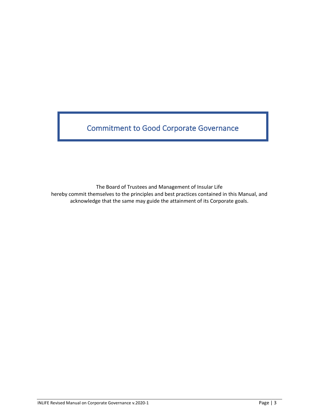<span id="page-2-0"></span>Commitment to Good Corporate Governance

The Board of Trustees and Management of Insular Life

hereby commit themselves to the principles and best practices contained in this Manual, and acknowledge that the same may guide the attainment of its Corporate goals.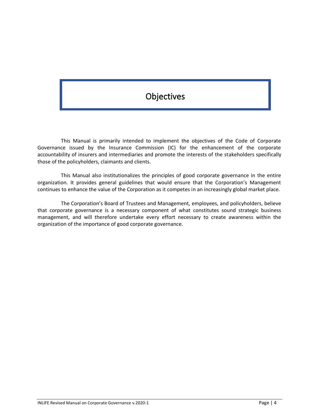# **Objectives**

<span id="page-3-0"></span>This Manual is primarily intended to implement the objectives of the Code of Corporate Governance issued by the Insurance Commission (IC) for the enhancement of the corporate accountability of insurers and intermediaries and promote the interests of the stakeholders specifically those of the policyholders, claimants and clients.

This Manual also institutionalizes the principles of good corporate governance in the entire organization. It provides general guidelines that would ensure that the Corporation's Management continues to enhance the value of the Corporation as it competes in an increasingly global market place.

The Corporation's Board of Trustees and Management, employees, and policyholders, believe that corporate governance is a necessary component of what constitutes sound strategic business management, and will therefore undertake every effort necessary to create awareness within the organization of the importance of good corporate governance.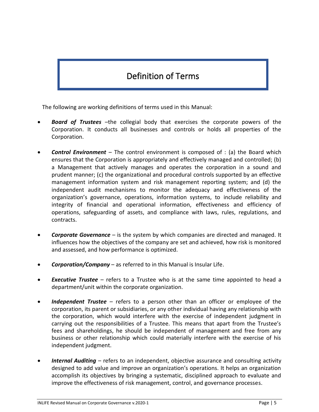# Definition of Terms

<span id="page-4-0"></span>The following are working definitions of terms used in this Manual:

- *Board of Trustees* –the collegial body that exercises the corporate powers of the Corporation. It conducts all businesses and controls or holds all properties of the Corporation.
- *Control Environment*  The control environment is composed of : (a) the Board which ensures that the Corporation is appropriately and effectively managed and controlled; (b) a Management that actively manages and operates the corporation in a sound and prudent manner; (c) the organizational and procedural controls supported by an effective management information system and risk management reporting system; and (d) the independent audit mechanisms to monitor the adequacy and effectiveness of the organization's governance, operations, information systems, to include reliability and integrity of financial and operational information, effectiveness and efficiency of operations, safeguarding of assets, and compliance with laws, rules, regulations, and contracts.
- *Corporate Governance*  is the system by which companies are directed and managed. It influences how the objectives of the company are set and achieved, how risk is monitored and assessed, and how performance is optimized.
- *Corporation/Company* as referred to in this Manual is Insular Life.
- *Executive Trustee*  refers to a Trustee who is at the same time appointed to head a department/unit within the corporate organization.
- *Independent Trustee*  refers to a person other than an officer or employee of the corporation, its parent or subsidiaries, or any other individual having any relationship with the corporation, which would interfere with the exercise of independent judgment in carrying out the responsibilities of a Trustee. This means that apart from the Trustee's fees and shareholdings, he should be independent of management and free from any business or other relationship which could materially interfere with the exercise of his independent judgment.
- **Internal Auditing** refers to an independent, objective assurance and consulting activity designed to add value and improve an organization's operations. It helps an organization accomplish its objectives by bringing a systematic, disciplined approach to evaluate and improve the effectiveness of risk management, control, and governance processes.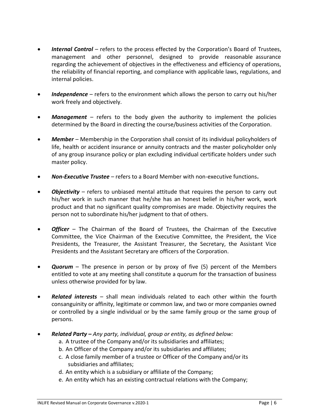- *Internal Control* refers to the process effected by the Corporation's Board of Trustees, management and other personnel, designed to provide reasonable assurance regarding the achievement of objectives in the effectiveness and efficiency of operations, the reliability of financial reporting, and compliance with applicable laws, regulations, and internal policies.
- *Independence*  refers to the environment which allows the person to carry out his/her work freely and objectively.
- **Management** refers to the body given the authority to implement the policies determined by the Board in directing the course/business activities of the Corporation.
- *Member*  Membership in the Corporation shall consist of its individual policyholders of life, health or accident insurance or annuity contracts and the master policyholder only of any group insurance policy or plan excluding individual certificate holders under such master policy.
- *Non-Executive Trustee*  refers to a Board Member with non-executive functions**.**
- *Objectivity* refers to unbiased mental attitude that requires the person to carry out his/her work in such manner that he/she has an honest belief in his/her work, work product and that no significant quality compromises are made. Objectivity requires the person not to subordinate his/her judgment to that of others.
- *Officer*  The Chairman of the Board of Trustees, the Chairman of the Executive Committee, the Vice Chairman of the Executive Committee, the President, the Vice Presidents, the Treasurer, the Assistant Treasurer, the Secretary, the Assistant Vice Presidents and the Assistant Secretary are officers of the Corporation.
- *Quorum*  The presence in person or by proxy of five (5) percent of the Members entitled to vote at any meeting shall constitute a quorum for the transaction of business unless otherwise provided for by law.
- *Related interests*  shall mean individuals related to each other within the fourth consanguinity or affinity, legitimate or common law, and two or more companies owned or controlled by a single individual or by the same family group or the same group of persons.
- *Related Party – Any party, individual, group or entity, as defined below:*
	- a. A trustee of the Company and/or its subsidiaries and affiliates;
	- b. An Officer of the Company and/or its subsidiaries and affiliates;
	- c. A close family member of a trustee or Officer of the Company and/or its subsidiaries and affiliates;
	- d. An entity which is a subsidiary or affiliate of the Company;
	- e. An entity which has an existing contractual relations with the Company;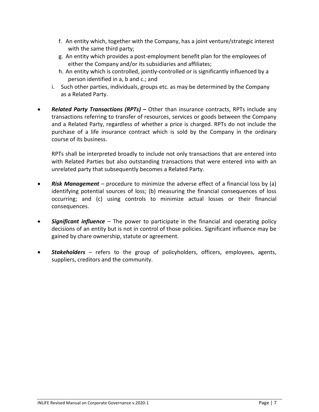- f. An entity which, together with the Company, has a joint venture/strategic interest with the same third party;
- g. An entity which provides a post-employment benefit plan for the employees of either the Company and/or its subsidiaries and affiliates;
- h. An entity which is controlled, jointly-controlled or is significantly influenced by a person identified in a, b and c.; and
- i. Such other parties, individuals, groups etc. as may be determined by the Company as a Related Party.
- *Related Party Transactions (RPTs)* **–** Other than insurance contracts, RPTs include any transactions referring to transfer of resources, services or goods between the Company and a Related Party, regardless of whether a price is charged. RPTs do not include the purchase of a life insurance contract which is sold by the Company in the ordinary course of its business.

RPTs shall be interpreted broadly to include not only transactions that are entered into with Related Parties but also outstanding transactions that were entered into with an unrelated party that subsequently becomes a Related Party.

- *Risk Management* procedure to minimize the adverse effect of a financial loss by (a) identifying potential sources of loss; (b) measuring the financial consequences of loss occurring; and (c) using controls to minimize actual losses or their financial consequences.
- *Significant influence* The power to participate in the financial and operating policy decisions of an entity but is not in control of those policies. Significant influence may be gained by chare ownership, statute or agreement.
- *Stakeholders*  refers to the group of policyholders, officers, employees, agents, suppliers, creditors and the community.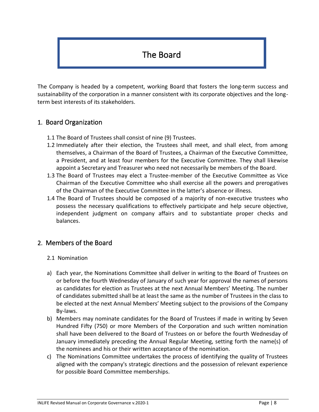# The Board

<span id="page-7-0"></span>The Company is headed by a competent, working Board that fosters the long-term success and sustainability of the corporation in a manner consistent with its corporate objectives and the longterm best interests of its stakeholders.

### <span id="page-7-1"></span>1. Board Organization

- 1.1 The Board of Trustees shall consist of nine (9) Trustees.
- 1.2 Immediately after their election, the Trustees shall meet, and shall elect, from among themselves, a Chairman of the Board of Trustees, a Chairman of the Executive Committee, a President, and at least four members for the Executive Committee. They shall likewise appoint a Secretary and Treasurer who need not necessarily be members of the Board.
- 1.3 The Board of Trustees may elect a Trustee-member of the Executive Committee as Vice Chairman of the Executive Committee who shall exercise all the powers and prerogatives of the Chairman of the Executive Committee in the latter's absence or illness.
- 1.4 The Board of Trustees should be composed of a majority of non-executive trustees who possess the necessary qualifications to effectively participate and help secure objective, independent judgment on company affairs and to substantiate proper checks and balances.

### <span id="page-7-2"></span>2. Members of the Board

- 2.1 Nomination
- a) Each year, the Nominations Committee shall deliver in writing to the Board of Trustees on or before the fourth Wednesday of January of such year for approval the names of persons as candidates for election as Trustees at the next Annual Members' Meeting. The number of candidates submitted shall be at least the same as the number of Trustees in the class to be elected at the next Annual Members' Meeting subject to the provisions of the Company By-laws.
- b) Members may nominate candidates for the Board of Trustees if made in writing by Seven Hundred Fifty (750) or more Members of the Corporation and such written nomination shall have been delivered to the Board of Trustees on or before the fourth Wednesday of January immediately preceding the Annual Regular Meeting, setting forth the name(s) of the nominees and his or their written acceptance of the nomination.
- c) The Nominations Committee undertakes the process of identifying the quality of Trustees aligned with the company's strategic directions and the possession of relevant experience for possible Board Committee memberships.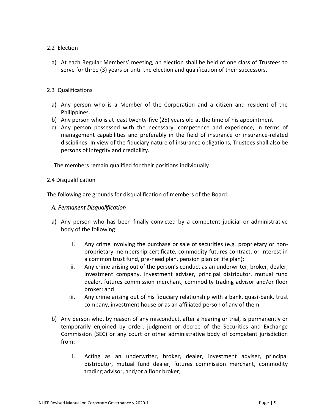#### 2.2 Election

a) At each Regular Members' meeting, an election shall be held of one class of Trustees to serve for three (3) years or until the election and qualification of their successors.

#### 2.3 Qualifications

- a) Any person who is a Member of the Corporation and a citizen and resident of the Philippines.
- b) Any person who is at least twenty-five (25) years old at the time of his appointment
- c) Any person possessed with the necessary, competence and experience, in terms of management capabilities and preferably in the field of insurance or insurance-related disciplines. In view of the fiduciary nature of insurance obligations, Trustees shall also be persons of integrity and credibility.

The members remain qualified for their positions individually.

#### 2.4 Disqualification

The following are grounds for disqualification of members of the Board:

#### *A. Permanent Disqualification*

- a) Any person who has been finally convicted by a competent judicial or administrative body of the following:
	- i. Any crime involving the purchase or sale of securities (e.g. proprietary or nonproprietary membership certificate, commodity futures contract, or interest in a common trust fund, pre-need plan, pension plan or life plan);
	- ii. Any crime arising out of the person's conduct as an underwriter, broker, dealer, investment company, investment adviser, principal distributor, mutual fund dealer, futures commission merchant, commodity trading advisor and/or floor broker; and
	- iii. Any crime arising out of his fiduciary relationship with a bank, quasi-bank, trust company, investment house or as an affiliated person of any of them.
- b) Any person who, by reason of any misconduct, after a hearing or trial, is permanently or temporarily enjoined by order, judgment or decree of the Securities and Exchange Commission (SEC) or any court or other administrative body of competent jurisdiction from:
	- i. Acting as an underwriter, broker, dealer, investment adviser, principal distributor, mutual fund dealer, futures commission merchant, commodity trading advisor, and/or a floor broker;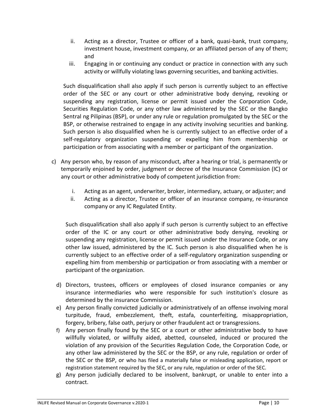- ii. Acting as a director, Trustee or officer of a bank, quasi-bank, trust company, investment house, investment company, or an affiliated person of any of them; and
- iii. Engaging in or continuing any conduct or practice in connection with any such activity or willfully violating laws governing securities, and banking activities.

Such disqualification shall also apply if such person is currently subject to an effective order of the SEC or any court or other administrative body denying, revoking or suspending any registration, license or permit issued under the Corporation Code, Securities Regulation Code, or any other law administered by the SEC or the Bangko Sentral ng Pilipinas (BSP), or under any rule or regulation promulgated by the SEC or the BSP, or otherwise restrained to engage in any activity involving securities and banking. Such person is also disqualified when he is currently subject to an effective order of a self-regulatory organization suspending or expelling him from membership or participation or from associating with a member or participant of the organization.

- c) Any person who, by reason of any misconduct, after a hearing or trial, is permanently or temporarily enjoined by order, judgment or decree of the Insurance Commission (IC) or any court or other administrative body of competent jurisdiction from:
	- i. Acting as an agent, underwriter, broker, intermediary, actuary, or adjuster; and
	- ii. Acting as a director, Trustee or officer of an insurance company, re-insurance company or any IC Regulated Entity.

Such disqualification shall also apply if such person is currently subject to an effective order of the IC or any court or other administrative body denying, revoking or suspending any registration, license or permit issued under the Insurance Code, or any other law issued, administered by the IC. Such person is also disqualified when he is currently subject to an effective order of a self-regulatory organization suspending or expelling him from membership or participation or from associating with a member or participant of the organization.

- d) Directors, trustees, officers or employees of closed insurance companies or any insurance intermediaries who were responsible for such institution's closure as determined by the insurance Commission.
- e) Any person finally convicted judicially or administratively of an offense involving moral turpitude, fraud, embezzlement, theft, estafa, counterfeiting, misappropriation, forgery, bribery, false oath, perjury or other fraudulent act or transgressions.
- f) Any person finally found by the SEC or a court or other administrative body to have willfully violated, or willfully aided, abetted, counseled, induced or procured the violation of any provision of the Securities Regulation Code, the Corporation Code, or any other law administered by the SEC or the BSP, or any rule, regulation or order of the SEC or the BSP, or who has filed a materially false or misleading application, report or registration statement required by the SEC, or any rule, regulation or order of the SEC.
- g) Any person judicially declared to be insolvent, bankrupt, or unable to enter into a contract.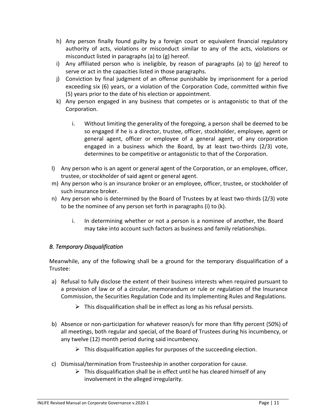- h) Any person finally found guilty by a foreign court or equivalent financial regulatory authority of acts, violations or misconduct similar to any of the acts, violations or misconduct listed in paragraphs (a) to (g) hereof.
- i) Any affiliated person who is ineligible, by reason of paragraphs (a) to (g) hereof to serve or act in the capacities listed in those paragraphs.
- j) Conviction by final judgment of an offense punishable by imprisonment for a period exceeding six (6) years, or a violation of the Corporation Code, committed within five (5) years prior to the date of his election or appointment.
- k) Any person engaged in any business that competes or is antagonistic to that of the Corporation.
	- i. Without limiting the generality of the foregoing, a person shall be deemed to be so engaged if he is a director, trustee, officer, stockholder, employee, agent or general agent, officer or employee of a general agent, of any corporation engaged in a business which the Board, by at least two-thirds (2/3) vote, determines to be competitive or antagonistic to that of the Corporation.
- l) Any person who is an agent or general agent of the Corporation, or an employee, officer, trustee, or stockholder of said agent or general agent.
- m) Any person who is an insurance broker or an employee, officer, trustee, or stockholder of such insurance broker.
- n) Any person who is determined by the Board of Trustees by at least two-thirds (2/3) vote to be the nominee of any person set forth in paragraphs (i) to (k).
	- i. In determining whether or not a person is a nominee of another, the Board may take into account such factors as business and family relationships.

### *B. Temporary Disqualification*

Meanwhile, any of the following shall be a ground for the temporary disqualification of a Trustee:

- a) Refusal to fully disclose the extent of their business interests when required pursuant to a provision of law or of a circular, memorandum or rule or regulation of the Insurance Commission, the Securities Regulation Code and its Implementing Rules and Regulations.
	- $\triangleright$  This disqualification shall be in effect as long as his refusal persists.
- b) Absence or non-participation for whatever reason/s for more than fifty percent (50%) of all meetings, both regular and special, of the Board of Trustees during his incumbency, or any twelve (12) month period during said incumbency.
	- $\triangleright$  This disqualification applies for purposes of the succeeding election.
- c) Dismissal/termination from Trusteeship in another corporation for cause.
	- $\triangleright$  This disqualification shall be in effect until he has cleared himself of any involvement in the alleged irregularity.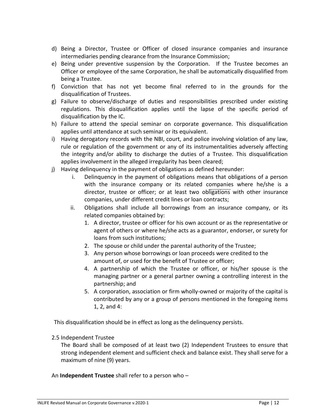- d) Being a Director, Trustee or Officer of closed insurance companies and insurance intermediaries pending clearance from the Insurance Commission;
- e) Being under preventive suspension by the Corporation. If the Trustee becomes an Officer or employee of the same Corporation, he shall be automatically disqualified from being a Trustee.
- f) Conviction that has not yet become final referred to in the grounds for the disqualification of Trustees.
- g) Failure to observe/discharge of duties and responsibilities prescribed under existing regulations. This disqualification applies until the lapse of the specific period of disqualification by the IC.
- h) Failure to attend the special seminar on corporate governance. This disqualification applies until attendance at such seminar or its equivalent.
- i) Having derogatory records with the NBI, court, and police involving violation of any law, rule or regulation of the government or any of its instrumentalities adversely affecting the integrity and/or ability to discharge the duties of a Trustee. This disqualification applies involvement in the alleged irregularity has been cleared;
- j) Having delinquency in the payment of obligations as defined hereunder:
	- i. Delinquency in the payment of obligations means that obligations of a person with the insurance company or its related companies where he/she is a director, trustee or officer; or at least two obligations with other insurance companies, under different credit lines or loan contracts;
	- ii. Obligations shall include all borrowings from an insurance company, or its related companies obtained by:
		- 1. A director, trustee or officer for his own account or as the representative or agent of others or where he/she acts as a guarantor, endorser, or surety for loans from such institutions;
		- 2. The spouse or child under the parental authority of the Trustee;
		- 3. Any person whose borrowings or loan proceeds were credited to the amount of, or used for the benefit of Trustee or officer;
		- 4. A partnership of which the Trustee or officer, or his/her spouse is the managing partner or a general partner owning a controlling interest in the partnership; and
		- 5. A corporation, association or firm wholly-owned or majority of the capital is contributed by any or a group of persons mentioned in the foregoing items 1, 2, and 4:

This disqualification should be in effect as long as the delinquency persists.

#### 2.5 Independent Trustee

The Board shall be composed of at least two (2) Independent Trustees to ensure that strong independent element and sufficient check and balance exist. They shall serve for a maximum of nine (9) years.

An **Independent Trustee** shall refer to a person who –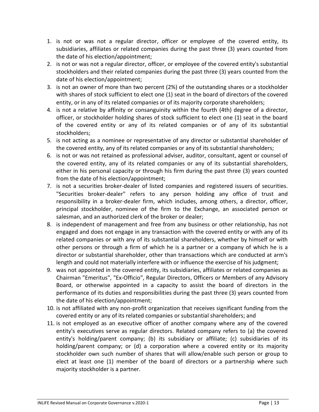- 1. is not or was not a regular director, officer or employee of the covered entity, its subsidiaries, affiliates or related companies during the past three (3) years counted from the date of his election/appointment;
- 2. is not or was not a regular director, officer, or employee of the covered entity's substantial stockholders and their related companies during the past three (3) years counted from the date of his election/appointment;
- 3. is not an owner of more than two percent (2%) of the outstanding shares or a stockholder with shares of stock sufficient to elect one (1) seat in the board of directors of the covered entity, or in any of its related companies or of its majority corporate shareholders;
- 4. is not a relative by affinity or consanguinity within the fourth (4th) degree of a director, officer, or stockholder holding shares of stock sufficient to elect one (1) seat in the board of the covered entity or any of its related companies or of any of its substantial stockholders;
- 5. is not acting as a nominee or representative of any director or substantial shareholder of the covered entity, any of its related companies or any of its substantial shareholders;
- 6. is not or was not retained as professional adviser, auditor, consultant, agent or counsel of the covered entity, any of its related companies or any of its substantial shareholders, either in his personal capacity or through his firm during the past three (3) years counted from the date of his election/appointment;
- 7. is not a securities broker-dealer of listed companies and registered issuers of securities. "Securities broker-dealer" refers to any person holding any office of trust and responsibility in a broker-dealer firm, which includes, among others, a director, officer, principal stockholder, nominee of the firm to the Exchange, an associated person or salesman, and an authorized clerk of the broker or dealer;
- 8. is independent of management and free from any business or other relationship, has not engaged and does not engage in any transaction with the covered entity or with any of its related companies or with any of its substantial shareholders, whether by himself or with other persons or through a firm of which he is a partner or a company of which he is a director or substantial shareholder, other than transactions which are conducted at arm's length and could not materially interfere with or influence the exercise of his judgment;
- 9. was not appointed in the covered entity, its subsidiaries, affiliates or related companies as Chairman "Emeritus", "Ex-Officio", Regular Directors, Officers or Members of any Advisory Board, or otherwise appointed in a capacity to assist the board of directors in the performance of its duties and responsibilities during the past three (3) years counted from the date of his election/appointment;
- 10. is not affiliated with any non-profit organization that receives significant funding from the covered entity or any of its related companies or substantial shareholders; and
- 11. is not employed as an executive officer of another company where any of the covered entity's executives serve as regular directors. Related company refers to (a) the covered entity's holding/parent company; (b) its subsidiary or affiliate; (c) subsidiaries of its holding/parent company; or (d) a corporation where a covered entity or its majority stockholder own such number of shares that will allow/enable such person or group to elect at least one (1) member of the board of directors or a partnership where such majority stockholder is a partner.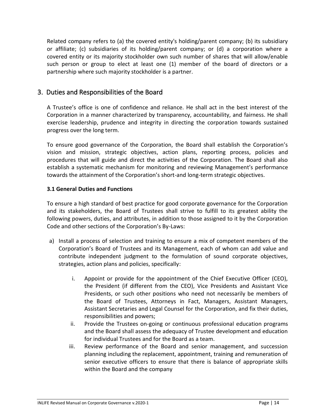Related company refers to (a) the covered entity's holding/parent company; (b) its subsidiary or affiliate; (c) subsidiaries of its holding/parent company; or (d) a corporation where a covered entity or its majority stockholder own such number of shares that will allow/enable such person or group to elect at least one (1) member of the board of directors or a partnership where such majority stockholder is a partner.

### <span id="page-13-0"></span>3. Duties and Responsibilities of the Board

A Trustee's office is one of confidence and reliance. He shall act in the best interest of the Corporation in a manner characterized by transparency, accountability, and fairness. He shall exercise leadership, prudence and integrity in directing the corporation towards sustained progress over the long term.

To ensure good governance of the Corporation, the Board shall establish the Corporation's vision and mission, strategic objectives, action plans, reporting process, policies and procedures that will guide and direct the activities of the Corporation. The Board shall also establish a systematic mechanism for monitoring and reviewing Management's performance towards the attainment of the Corporation's short-and long-term strategic objectives.

#### **3.1 General Duties and Functions**

To ensure a high standard of best practice for good corporate governance for the Corporation and its stakeholders, the Board of Trustees shall strive to fulfill to its greatest ability the following powers, duties, and attributes, in addition to those assigned to it by the Corporation Code and other sections of the Corporation's By-Laws:

- a) Install a process of selection and training to ensure a mix of competent members of the Corporation's Board of Trustees and its Management, each of whom can add value and contribute independent judgment to the formulation of sound corporate objectives, strategies, action plans and policies, specifically:
	- i. Appoint or provide for the appointment of the Chief Executive Officer (CEO), the President (if different from the CEO), Vice Presidents and Assistant Vice Presidents, or such other positions who need not necessarily be members of the Board of Trustees, Attorneys in Fact, Managers, Assistant Managers, Assistant Secretaries and Legal Counsel for the Corporation, and fix their duties, responsibilities and powers;
	- ii. Provide the Trustees on-going or continuous professional education programs and the Board shall assess the adequacy of Trustee development and education for individual Trustees and for the Board as a team.
	- iii. Review performance of the Board and senior management, and succession planning including the replacement, appointment, training and remuneration of senior executive officers to ensure that there is balance of appropriate skills within the Board and the company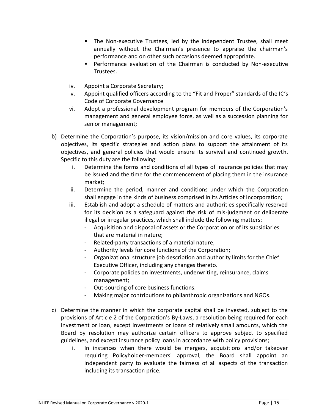- The Non-executive Trustees, led by the independent Trustee, shall meet annually without the Chairman's presence to appraise the chairman's performance and on other such occasions deemed appropriate.
- Performance evaluation of the Chairman is conducted by Non-executive Trustees.
- iv. Appoint a Corporate Secretary;
- v. Appoint qualified officers according to the "Fit and Proper" standards of the IC's Code of Corporate Governance
- vi. Adopt a professional development program for members of the Corporation's management and general employee force, as well as a succession planning for senior management;
- b) Determine the Corporation's purpose, its vision/mission and core values, its corporate objectives, its specific strategies and action plans to support the attainment of its objectives, and general policies that would ensure its survival and continued growth. Specific to this duty are the following:
	- i. Determine the forms and conditions of all types of insurance policies that may be issued and the time for the commencement of placing them in the insurance market;
	- ii. Determine the period, manner and conditions under which the Corporation shall engage in the kinds of business comprised in its Articles of Incorporation;
	- iii. Establish and adopt a schedule of matters and authorities specifically reserved for its decision as a safeguard against the risk of mis-judgment or deliberate illegal or irregular practices, which shall include the following matters:
		- Acquisition and disposal of assets or the Corporation or of its subsidiaries that are material in nature;
		- Related-party transactions of a material nature;
		- Authority levels for core functions of the Corporation;
		- Organizational structure job description and authority limits for the Chief Executive Officer, including any changes thereto.
		- Corporate policies on investments, underwriting, reinsurance, claims management;
		- Out-sourcing of core business functions.
		- Making major contributions to philanthropic organizations and NGOs.
- c) Determine the manner in which the corporate capital shall be invested, subject to the provisions of Article 2 of the Corporation's By-Laws, a resolution being required for each investment or loan, except investments or loans of relatively small amounts, which the Board by resolution may authorize certain officers to approve subject to specified guidelines, and except insurance policy loans in accordance with policy provisions;
	- i. In instances when there would be mergers, acquisitions and/or takeover requiring Policyholder-members' approval, the Board shall appoint an independent party to evaluate the fairness of all aspects of the transaction including its transaction price.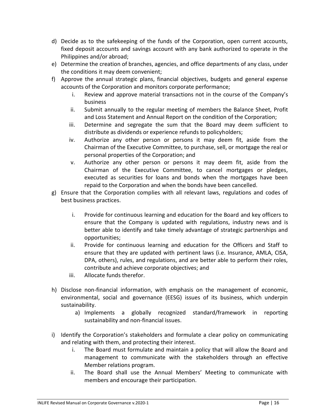- d) Decide as to the safekeeping of the funds of the Corporation, open current accounts, fixed deposit accounts and savings account with any bank authorized to operate in the Philippines and/or abroad;
- e) Determine the creation of branches, agencies, and office departments of any class, under the conditions it may deem convenient;
- f) Approve the annual strategic plans, financial objectives, budgets and general expense accounts of the Corporation and monitors corporate performance;
	- i. Review and approve material transactions not in the course of the Company's business
	- ii. Submit annually to the regular meeting of members the Balance Sheet, Profit and Loss Statement and Annual Report on the condition of the Corporation;
	- iii. Determine and segregate the sum that the Board may deem sufficient to distribute as dividends or experience refunds to policyholders;
	- iv. Authorize any other person or persons it may deem fit, aside from the Chairman of the Executive Committee, to purchase, sell, or mortgage the real or personal properties of the Corporation; and
	- v. Authorize any other person or persons it may deem fit, aside from the Chairman of the Executive Committee, to cancel mortgages or pledges, executed as securities for loans and bonds when the mortgages have been repaid to the Corporation and when the bonds have been cancelled.
- g) Ensure that the Corporation complies with all relevant laws, regulations and codes of best business practices.
	- i. Provide for continuous learning and education for the Board and key officers to ensure that the Company is updated with regulations, industry news and is better able to identify and take timely advantage of strategic partnerships and opportunities;
	- ii. Provide for continuous learning and education for the Officers and Staff to ensure that they are updated with pertinent laws (i.e. Insurance, AMLA, CISA, DPA, others), rules, and regulations, and are better able to perform their roles, contribute and achieve corporate objectives; and
	- iii. Allocate funds therefor.
- h) Disclose non-financial information, with emphasis on the management of economic, environmental, social and governance (EESG) issues of its business, which underpin sustainability.
	- a) Implements a globally recognized standard/framework in reporting sustainability and non-financial issues.
- i) Identify the Corporation's stakeholders and formulate a clear policy on communicating and relating with them, and protecting their interest.
	- i. The Board must formulate and maintain a policy that will allow the Board and management to communicate with the stakeholders through an effective Member relations program.
	- ii. The Board shall use the Annual Members' Meeting to communicate with members and encourage their participation.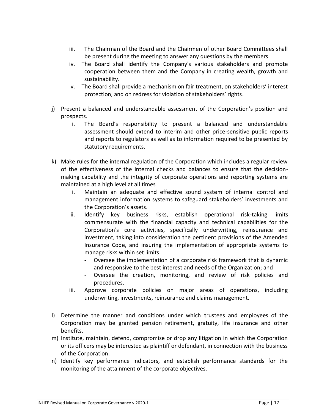- iii. The Chairman of the Board and the Chairmen of other Board Committees shall be present during the meeting to answer any questions by the members.
- iv. The Board shall identify the Company's various stakeholders and promote cooperation between them and the Company in creating wealth, growth and sustainability.
- v. The Board shall provide a mechanism on fair treatment, on stakeholders' interest protection, and on redress for violation of stakeholders' rights.
- j) Present a balanced and understandable assessment of the Corporation's position and prospects.
	- i. The Board's responsibility to present a balanced and understandable assessment should extend to interim and other price-sensitive public reports and reports to regulators as well as to information required to be presented by statutory requirements.
- k) Make rules for the internal regulation of the Corporation which includes a regular review of the effectiveness of the internal checks and balances to ensure that the decisionmaking capability and the integrity of corporate operations and reporting systems are maintained at a high level at all times
	- i. Maintain an adequate and effective sound system of internal control and management information systems to safeguard stakeholders' investments and the Corporation's assets.
	- ii. Identify key business risks, establish operational risk-taking limits commensurate with the financial capacity and technical capabilities for the Corporation's core activities, specifically underwriting, reinsurance and investment, taking into consideration the pertinent provisions of the Amended Insurance Code, and insuring the implementation of appropriate systems to manage risks within set limits.
		- Oversee the implementation of a corporate risk framework that is dynamic and responsive to the best interest and needs of the Organization; and
		- Oversee the creation, monitoring, and review of risk policies and procedures.
	- iii. Approve corporate policies on major areas of operations, including underwriting, investments, reinsurance and claims management.
- l) Determine the manner and conditions under which trustees and employees of the Corporation may be granted pension retirement, gratuity, life insurance and other benefits.
- m) Institute, maintain, defend, compromise or drop any litigation in which the Corporation or its officers may be interested as plaintiff or defendant, in connection with the business of the Corporation.
- n) Identify key performance indicators, and establish performance standards for the monitoring of the attainment of the corporate objectives.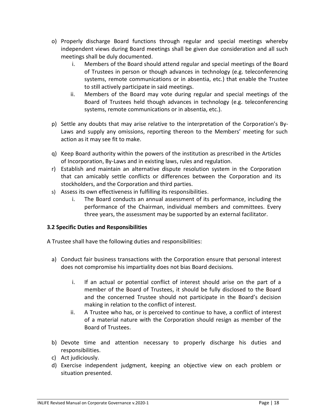- o) Properly discharge Board functions through regular and special meetings whereby independent views during Board meetings shall be given due consideration and all such meetings shall be duly documented.
	- i. Members of the Board should attend regular and special meetings of the Board of Trustees in person or though advances in technology (e.g. teleconferencing systems, remote communications or in absentia, etc.) that enable the Trustee to still actively participate in said meetings.
	- ii. Members of the Board may vote during regular and special meetings of the Board of Trustees held though advances in technology (e.g. teleconferencing systems, remote communications or in absentia, etc.).
- p) Settle any doubts that may arise relative to the interpretation of the Corporation's By-Laws and supply any omissions, reporting thereon to the Members' meeting for such action as it may see fit to make.
- q) Keep Board authority within the powers of the institution as prescribed in the Articles of Incorporation, By-Laws and in existing laws, rules and regulation.
- r) Establish and maintain an alternative dispute resolution system in the Corporation that can amicably settle conflicts or differences between the Corporation and its stockholders, and the Corporation and third parties.
- s) Assess its own effectiveness in fulfilling its responsibilities.
	- i. The Board conducts an annual assessment of its performance, including the performance of the Chairman, individual members and committees. Every three years, the assessment may be supported by an external facilitator.

#### **3.2 Specific Duties and Responsibilities**

- A Trustee shall have the following duties and responsibilities:
	- a) Conduct fair business transactions with the Corporation ensure that personal interest does not compromise his impartiality does not bias Board decisions.
		- i. If an actual or potential conflict of interest should arise on the part of a member of the Board of Trustees, it should be fully disclosed to the Board and the concerned Trustee should not participate in the Board's decision making in relation to the conflict of interest.
		- ii. A Trustee who has, or is perceived to continue to have, a conflict of interest of a material nature with the Corporation should resign as member of the Board of Trustees.
	- b) Devote time and attention necessary to properly discharge his duties and responsibilities.
	- c) Act judiciously.
	- d) Exercise independent judgment, keeping an objective view on each problem or situation presented.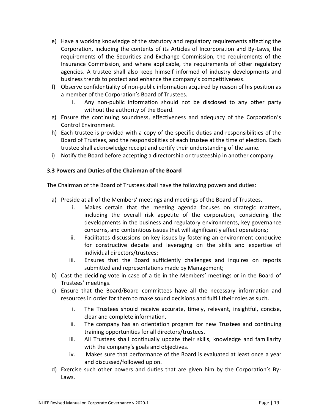- e) Have a working knowledge of the statutory and regulatory requirements affecting the Corporation, including the contents of its Articles of Incorporation and By-Laws, the requirements of the Securities and Exchange Commission, the requirements of the Insurance Commission, and where applicable, the requirements of other regulatory agencies. A trustee shall also keep himself informed of industry developments and business trends to protect and enhance the company's competitiveness.
- f) Observe confidentiality of non-public information acquired by reason of his position as a member of the Corporation's Board of Trustees.
	- i. Any non-public information should not be disclosed to any other party without the authority of the Board.
- g) Ensure the continuing soundness, effectiveness and adequacy of the Corporation's Control Environment.
- h) Each trustee is provided with a copy of the specific duties and responsibilities of the Board of Trustees, and the responsibilities of each trustee at the time of election. Each trustee shall acknowledge receipt and certify their understanding of the same.
- i) Notify the Board before accepting a directorship or trusteeship in another company.

#### **3.3 Powers and Duties of the Chairman of the Board**

The Chairman of the Board of Trustees shall have the following powers and duties:

- a) Preside at all of the Members' meetings and meetings of the Board of Trustees.
	- i. Makes certain that the meeting agenda focuses on strategic matters, including the overall risk appetite of the corporation, considering the developments in the business and regulatory environments, key governance concerns, and contentious issues that will significantly affect operations;
	- ii. Facilitates discussions on key issues by fostering an environment conducive for constructive debate and leveraging on the skills and expertise of individual directors/trustees;
	- iii. Ensures that the Board sufficiently challenges and inquires on reports submitted and representations made by Management;
- b) Cast the deciding vote in case of a tie in the Members' meetings or in the Board of Trustees' meetings.
- c) Ensure that the Board/Board committees have all the necessary information and resources in order for them to make sound decisions and fulfill their roles as such.
	- i. The Trustees should receive accurate, timely, relevant, insightful, concise, clear and complete information.
	- ii. The company has an orientation program for new Trustees and continuing training opportunities for all directors/trustees.
	- iii. All Trustees shall continually update their skills, knowledge and familiarity with the company's goals and objectives.
	- iv. Makes sure that performance of the Board is evaluated at least once a year and discussed/followed up on.
- d) Exercise such other powers and duties that are given him by the Corporation's By-Laws.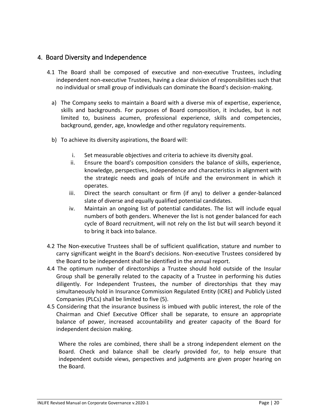### <span id="page-19-0"></span>4. Board Diversity and Independence

- 4.1 The Board shall be composed of executive and non-executive Trustees, including independent non-executive Trustees, having a clear division of responsibilities such that no individual or small group of individuals can dominate the Board's decision-making.
	- a) The Company seeks to maintain a Board with a diverse mix of expertise, experience, skills and backgrounds. For purposes of Board composition, it includes, but is not limited to, business acumen, professional experience, skills and competencies, background, gender, age, knowledge and other regulatory requirements.
	- b) To achieve its diversity aspirations, the Board will:
		- i. Set measurable objectives and criteria to achieve its diversity goal.
		- ii. Ensure the board's composition considers the balance of skills, experience, knowledge, perspectives, independence and characteristics in alignment with the strategic needs and goals of InLife and the environment in which it operates.
		- iii. Direct the search consultant or firm (if any) to deliver a gender-balanced slate of diverse and equally qualified potential candidates.
		- iv. Maintain an ongoing list of potential candidates. The list will include equal numbers of both genders. Whenever the list is not gender balanced for each cycle of Board recruitment, will not rely on the list but will search beyond it to bring it back into balance.
- 4.2 The Non-executive Trustees shall be of sufficient qualification, stature and number to carry significant weight in the Board's decisions. Non-executive Trustees considered by the Board to be independent shall be identified in the annual report.
- 4.4 The optimum number of directorships a Trustee should hold outside of the Insular Group shall be generally related to the capacity of a Trustee in performing his duties diligently. For Independent Trustees, the number of directorships that they may simultaneously hold in Insurance Commission Regulated Entity (ICRE) and Publicly Listed Companies (PLCs) shall be limited to five (5).
- 4.5 Considering that the insurance business is imbued with public interest, the role of the Chairman and Chief Executive Officer shall be separate, to ensure an appropriate balance of power, increased accountability and greater capacity of the Board for independent decision making.

Where the roles are combined, there shall be a strong independent element on the Board. Check and balance shall be clearly provided for, to help ensure that independent outside views, perspectives and judgments are given proper hearing on the Board.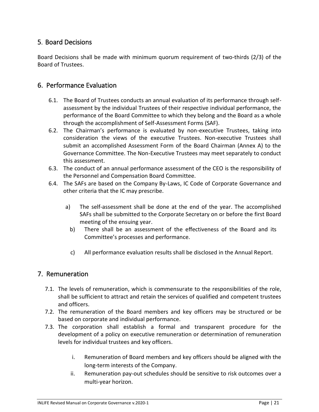### <span id="page-20-0"></span>5. Board Decisions

Board Decisions shall be made with minimum quorum requirement of two-thirds (2/3) of the Board of Trustees.

### <span id="page-20-1"></span>6. Performance Evaluation

- 6.1. The Board of Trustees conducts an annual evaluation of its performance through selfassessment by the individual Trustees of their respective individual performance, the performance of the Board Committee to which they belong and the Board as a whole through the accomplishment of Self-Assessment Forms (SAF).
- 6.2. The Chairman's performance is evaluated by non-executive Trustees, taking into consideration the views of the executive Trustees. Non-executive Trustees shall submit an accomplished Assessment Form of the Board Chairman (Annex A) to the Governance Committee. The Non-Executive Trustees may meet separately to conduct this assessment.
- 6.3. The conduct of an annual performance assessment of the CEO is the responsibility of the Personnel and Compensation Board Committee.
- 6.4. The SAFs are based on the Company By-Laws, IC Code of Corporate Governance and other criteria that the IC may prescribe.
	- a) The self-assessment shall be done at the end of the year. The accomplished SAFs shall be submitted to the Corporate Secretary on or before the first Board meeting of the ensuing year.
		- b) There shall be an assessment of the effectiveness of the Board and its Committee's processes and performance.
		- c) All performance evaluation results shall be disclosed in the Annual Report.

### <span id="page-20-2"></span>7. Remuneration

- 7.1. The levels of remuneration, which is commensurate to the responsibilities of the role, shall be sufficient to attract and retain the services of qualified and competent trustees and officers.
- 7.2. The remuneration of the Board members and key officers may be structured or be based on corporate and individual performance.
- 7.3. The corporation shall establish a formal and transparent procedure for the development of a policy on executive remuneration or determination of remuneration levels for individual trustees and key officers.
	- i. Remuneration of Board members and key officers should be aligned with the long-term interests of the Company.
	- ii. Remuneration pay-out schedules should be sensitive to risk outcomes over a multi-year horizon.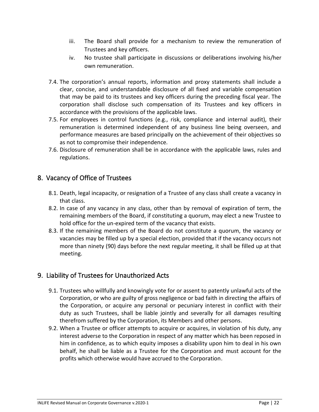- iii. The Board shall provide for a mechanism to review the remuneration of Trustees and key officers.
- iv. No trustee shall participate in discussions or deliberations involving his/her own remuneration.
- 7.4. The corporation's annual reports, information and proxy statements shall include a clear, concise, and understandable disclosure of all fixed and variable compensation that may be paid to its trustees and key officers during the preceding fiscal year. The corporation shall disclose such compensation of its Trustees and key officers in accordance with the provisions of the applicable laws.
- 7.5. For employees in control functions (e.g., risk, compliance and internal audit), their remuneration is determined independent of any business line being overseen, and performance measures are based principally on the achievement of their objectives so as not to compromise their independence.
- 7.6. Disclosure of remuneration shall be in accordance with the applicable laws, rules and regulations.

### <span id="page-21-0"></span>8. Vacancy of Office of Trustees

- 8.1. Death, legal incapacity, or resignation of a Trustee of any class shall create a vacancy in that class.
- 8.2. In case of any vacancy in any class, other than by removal of expiration of term, the remaining members of the Board, if constituting a quorum, may elect a new Trustee to hold office for the un-expired term of the vacancy that exists.
- 8.3. If the remaining members of the Board do not constitute a quorum, the vacancy or vacancies may be filled up by a special election, provided that if the vacancy occurs not more than ninety (90) days before the next regular meeting, it shall be filled up at that meeting.

### <span id="page-21-1"></span>9. Liability of Trustees for Unauthorized Acts

- 9.1. Trustees who willfully and knowingly vote for or assent to patently unlawful acts of the Corporation, or who are guilty of gross negligence or bad faith in directing the affairs of the Corporation, or acquire any personal or pecuniary interest in conflict with their duty as such Trustees, shall be liable jointly and severally for all damages resulting therefrom suffered by the Corporation, its Members and other persons.
- 9.2. When a Trustee or officer attempts to acquire or acquires, in violation of his duty, any interest adverse to the Corporation in respect of any matter which has been reposed in him in confidence, as to which equity imposes a disability upon him to deal in his own behalf, he shall be liable as a Trustee for the Corporation and must account for the profits which otherwise would have accrued to the Corporation.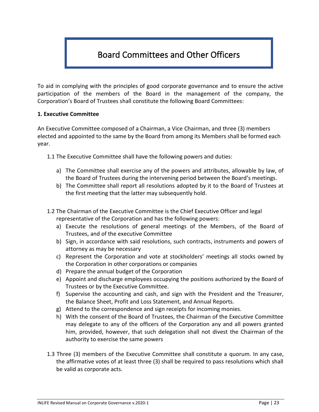# <span id="page-22-0"></span>Board Committees and Other Officers

To aid in complying with the principles of good corporate governance and to ensure the active participation of the members of the Board in the management of the company, the Corporation's Board of Trustees shall constitute the following Board Committees:

#### **1. Executive Committee**

An Executive Committee composed of a Chairman, a Vice Chairman, and three (3) members elected and appointed to the same by the Board from among its Members shall be formed each year.

1.1 The Executive Committee shall have the following powers and duties:

- a) The Committee shall exercise any of the powers and attributes, allowable by law, of the Board of Trustees during the intervening period between the Board's meetings.
- b) The Committee shall report all resolutions adopted by it to the Board of Trustees at the first meeting that the latter may subsequently hold.
- 1.2 The Chairman of the Executive Committee is the Chief Executive Officer and legal representative of the Corporation and has the following powers:
	- a) Execute the resolutions of general meetings of the Members, of the Board of Trustees, and of the executive Committee
	- b) Sign, in accordance with said resolutions, such contracts, instruments and powers of attorney as may be necessary
	- c) Represent the Corporation and vote at stockholders' meetings all stocks owned by the Corporation in other corporations or companies
	- d) Prepare the annual budget of the Corporation
	- e) Appoint and discharge employees occupying the positions authorized by the Board of Trustees or by the Executive Committee.
	- f) Supervise the accounting and cash, and sign with the President and the Treasurer, the Balance Sheet, Profit and Loss Statement, and Annual Reports.
	- g) Attend to the correspondence and sign receipts for incoming monies.
	- h) With the consent of the Board of Trustees, the Chairman of the Executive Committee may delegate to any of the officers of the Corporation any and all powers granted him, provided, however, that such delegation shall not divest the Chairman of the authority to exercise the same powers
- 1.3 Three (3) members of the Executive Committee shall constitute a quorum. In any case, the affirmative votes of at least three (3) shall be required to pass resolutions which shall be valid as corporate acts.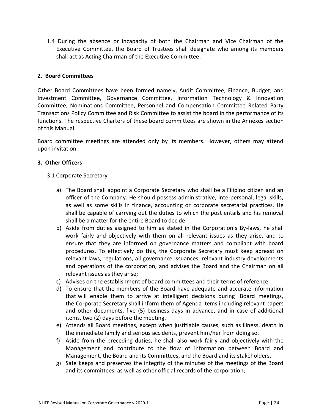1.4 During the absence or incapacity of both the Chairman and Vice Chairman of the Executive Committee, the Board of Trustees shall designate who among its members shall act as Acting Chairman of the Executive Committee.

#### **2. Board Committees**

Other Board Committees have been formed namely, Audit Committee, Finance, Budget, and Investment Committee, Governance Committee, Information Technology & Innovation Committee, Nominations Committee, Personnel and Compensation Committee Related Party Transactions Policy Committee and Risk Committee to assist the board in the performance of its functions. The respective Charters of these board committees are shown in the Annexes section of this Manual.

Board committee meetings are attended only by its members. However, others may attend upon invitation.

#### **3. Other Officers**

- 3.1 Corporate Secretary
	- a) The Board shall appoint a Corporate Secretary who shall be a Filipino citizen and an officer of the Company. He should possess administrative, interpersonal, legal skills, as well as some skills in finance, accounting or corporate secretarial practices. He shall be capable of carrying out the duties to which the post entails and his removal shall be a matter for the entire Board to decide.
	- b) Aside from duties assigned to him as stated in the Corporation's By-laws, he shall work fairly and objectively with them on all relevant issues as they arise, and to ensure that they are informed on governance matters and compliant with board procedures. To effectively do this, the Corporate Secretary must keep abreast on relevant laws, regulations, all governance issuances, relevant industry developments and operations of the corporation, and advises the Board and the Chairman on all relevant issues as they arise;
	- c) Advises on the establishment of board committees and their terms of reference;
	- d) To ensure that the members of the Board have adequate and accurate information that will enable them to arrive at intelligent decisions during Board meetings, the Corporate Secretary shall inform them of Agenda items including relevant papers and other documents, five (5) business days in advance, and in case of additional items, two (2) days before the meeting.
	- e) Attends all Board meetings, except when justifiable causes, such as illness, death in the immediate family and serious accidents, prevent him/her from doing so.
	- f) Aside from the preceding duties, he shall also work fairly and objectively with the Management and contribute to the flow of information between Board and Management, the Board and its Committees, and the Board and its stakeholders.
	- g) Safe keeps and preserves the integrity of the minutes of the meetings of the Board and its committees, as well as other official records of the corporation;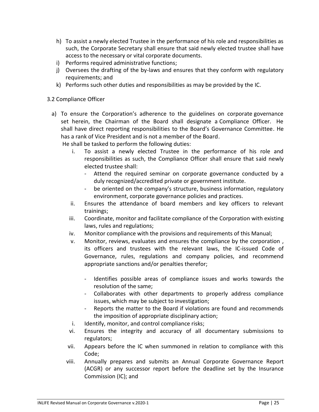- h) To assist a newly elected Trustee in the performance of his role and responsibilities as such, the Corporate Secretary shall ensure that said newly elected trustee shall have access to the necessary or vital corporate documents.
- i) Performs required administrative functions;
- j) Oversees the drafting of the by-laws and ensures that they conform with regulatory requirements; and
- k) Performs such other duties and responsibilities as may be provided by the IC.

#### 3.2 Compliance Officer

- a) To ensure the Corporation's adherence to the guidelines on corporate governance set herein, the Chairman of the Board shall designate a Compliance Officer. He shall have direct reporting responsibilities to the Board's Governance Committee. He has a rank of Vice President and is not a member of the Board. He shall be tasked to perform the following duties:
	- i. To assist a newly elected Trustee in the performance of his role and responsibilities as such, the Compliance Officer shall ensure that said newly elected trustee shall:
		- Attend the required seminar on corporate governance conducted by a duly recognized/accredited private or government institute.
		- be oriented on the company's structure, business information, regulatory environment, corporate governance policies and practices.
	- ii. Ensures the attendance of board members and key officers to relevant trainings;
	- iii. Coordinate, monitor and facilitate compliance of the Corporation with existing laws, rules and regulations;
	- iv. Monitor compliance with the provisions and requirements of this Manual;
	- v. Monitor, reviews, evaluates and ensures the compliance by the corporation , its officers and trustees with the relevant laws, the IC-issued Code of Governance, rules, regulations and company policies, and recommend appropriate sanctions and/or penalties therefor;
		- Identifies possible areas of compliance issues and works towards the resolution of the same;
		- Collaborates with other departments to properly address compliance issues, which may be subject to investigation;
		- Reports the matter to the Board if violations are found and recommends the imposition of appropriate disciplinary action;
	- i. Identify, monitor, and control compliance risks;
	- vi. Ensures the integrity and accuracy of all documentary submissions to regulators;
	- vii. Appears before the IC when summoned in relation to compliance with this Code;
	- viii. Annually prepares and submits an Annual Corporate Governance Report (ACGR) or any successor report before the deadline set by the Insurance Commission (IC); and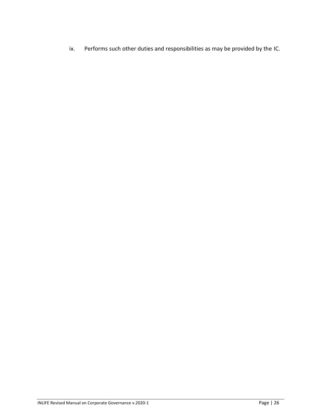ix. Performs such other duties and responsibilities as may be provided by the IC.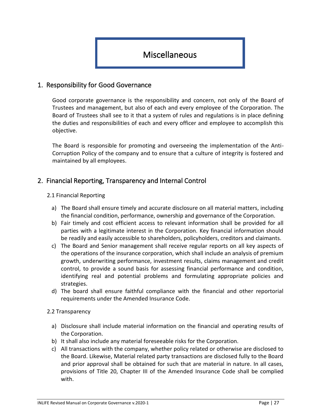# <span id="page-26-0"></span>Miscellaneous

### <span id="page-26-1"></span>1. Responsibility for Good Governance

Good corporate governance is the responsibility and concern, not only of the Board of Trustees and management, but also of each and every employee of the Corporation. The Board of Trustees shall see to it that a system of rules and regulations is in place defining the duties and responsibilities of each and every officer and employee to accomplish this objective.

The Board is responsible for promoting and overseeing the implementation of the Anti-Corruption Policy of the company and to ensure that a culture of integrity is fostered and maintained by all employees.

### <span id="page-26-2"></span>2. Financial Reporting, Transparency and Internal Control

#### 2.1 Financial Reporting

- a) The Board shall ensure timely and accurate disclosure on all material matters, including the financial condition, performance, ownership and governance of the Corporation.
- b) Fair timely and cost efficient access to relevant information shall be provided for all parties with a legitimate interest in the Corporation. Key financial information should be readily and easily accessible to shareholders, policyholders, creditors and claimants.
- c) The Board and Senior management shall receive regular reports on all key aspects of the operations of the insurance corporation, which shall include an analysis of premium growth, underwriting performance, investment results, claims management and credit control, to provide a sound basis for assessing financial performance and condition, identifying real and potential problems and formulating appropriate policies and strategies.
- d) The board shall ensure faithful compliance with the financial and other reportorial requirements under the Amended Insurance Code.

#### 2.2 Transparency

- a) Disclosure shall include material information on the financial and operating results of the Corporation.
- b) It shall also include any material foreseeable risks for the Corporation.
- c) All transactions with the company, whether policy related or otherwise are disclosed to the Board. Likewise, Material related party transactions are disclosed fully to the Board and prior approval shall be obtained for such that are material in nature. In all cases, provisions of Title 20, Chapter III of the Amended Insurance Code shall be complied with.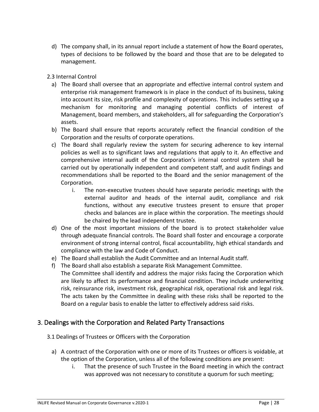- d) The company shall, in its annual report include a statement of how the Board operates, types of decisions to be followed by the board and those that are to be delegated to management.
- 2.3 Internal Control
	- a) The Board shall oversee that an appropriate and effective internal control system and enterprise risk management framework is in place in the conduct of its business, taking into account its size, risk profile and complexity of operations. This includes setting up a mechanism for monitoring and managing potential conflicts of interest of Management, board members, and stakeholders, all for safeguarding the Corporation's assets.
	- b) The Board shall ensure that reports accurately reflect the financial condition of the Corporation and the results of corporate operations.
	- c) The Board shall regularly review the system for securing adherence to key internal policies as well as to significant laws and regulations that apply to it. An effective and comprehensive internal audit of the Corporation's internal control system shall be carried out by operationally independent and competent staff, and audit findings and recommendations shall be reported to the Board and the senior management of the Corporation.
		- i. The non-executive trustees should have separate periodic meetings with the external auditor and heads of the internal audit, compliance and risk functions, without any executive trustees present to ensure that proper checks and balances are in place within the corporation. The meetings should be chaired by the lead independent trustee.
	- d) One of the most important missions of the board is to protect stakeholder value through adequate financial controls. The Board shall foster and encourage a corporate environment of strong internal control, fiscal accountability, high ethical standards and compliance with the law and Code of Conduct.
	- e) The Board shall establish the Audit Committee and an Internal Audit staff.
	- f) The Board shall also establish a separate Risk Management Committee. The Committee shall identify and address the major risks facing the Corporation which are likely to affect its performance and financial condition. They include underwriting risk, reinsurance risk, investment risk, geographical risk, operational risk and legal risk. The acts taken by the Committee in dealing with these risks shall be reported to the Board on a regular basis to enable the latter to effectively address said risks.

### <span id="page-27-0"></span>3. Dealings with the Corporation and Related Party Transactions

- 3.1 Dealings of Trustees or Officers with the Corporation
	- a) A contract of the Corporation with one or more of its Trustees or officers is voidable, at the option of the Corporation, unless all of the following conditions are present:
		- i. That the presence of such Trustee in the Board meeting in which the contract was approved was not necessary to constitute a quorum for such meeting;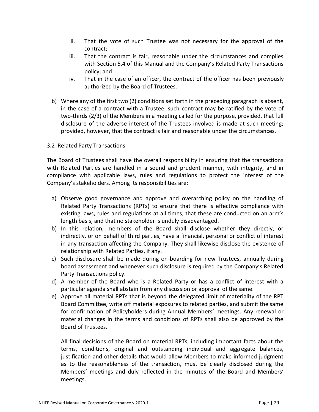- ii. That the vote of such Trustee was not necessary for the approval of the contract;
- iii. That the contract is fair, reasonable under the circumstances and complies with Section 5.4 of this Manual and the Company's Related Party Transactions policy; and
- iv. That in the case of an officer, the contract of the officer has been previously authorized by the Board of Trustees.
- b) Where any of the first two (2) conditions set forth in the preceding paragraph is absent, in the case of a contract with a Trustee, such contract may be ratified by the vote of two-thirds (2/3) of the Members in a meeting called for the purpose, provided, that full disclosure of the adverse interest of the Trustees involved is made at such meeting; provided, however, that the contract is fair and reasonable under the circumstances.
- 3.2 Related Party Transactions

The Board of Trustees shall have the overall responsibility in ensuring that the transactions with Related Parties are handled in a sound and prudent manner, with integrity, and in compliance with applicable laws, rules and regulations to protect the interest of the Company's stakeholders. Among its responsibilities are:

- a) Observe good governance and approve and overarching policy on the handling of Related Party Transactions (RPTs) to ensure that there is effective compliance with existing laws, rules and regulations at all times, that these are conducted on an arm's length basis, and that no stakeholder is unduly disadvantaged.
- b) In this relation, members of the Board shall disclose whether they directly, or indirectly, or on behalf of third parties, have a financial, personal or conflict of interest in any transaction affecting the Company. They shall likewise disclose the existence of relationship with Related Parties, if any.
- c) Such disclosure shall be made during on-boarding for new Trustees, annually during board assessment and whenever such disclosure is required by the Company's Related Party Transactions policy.
- d) A member of the Board who is a Related Party or has a conflict of interest with a particular agenda shall abstain from any discussion or approval of the same.
- e) Approve all material RPTs that is beyond the delegated limit of materiality of the RPT Board Committee, write off material exposures to related parties, and submit the same for confirmation of Policyholders during Annual Members' meetings. Any renewal or material changes in the terms and conditions of RPTs shall also be approved by the Board of Trustees.

All final decisions of the Board on material RPTs, including important facts about the terms, conditions, original and outstanding individual and aggregate balances, justification and other details that would allow Members to make informed judgment as to the reasonableness of the transaction, must be clearly disclosed during the Members' meetings and duly reflected in the minutes of the Board and Members' meetings.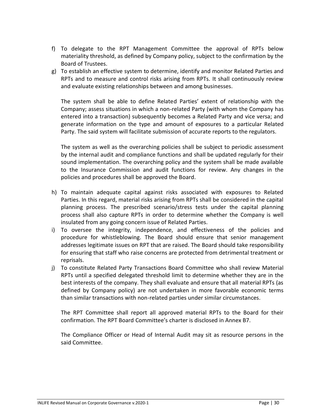- f) To delegate to the RPT Management Committee the approval of RPTs below materiality threshold, as defined by Company policy, subject to the confirmation by the Board of Trustees.
- g) To establish an effective system to determine, identify and monitor Related Parties and RPTs and to measure and control risks arising from RPTs. It shall continuously review and evaluate existing relationships between and among businesses.

The system shall be able to define Related Parties' extent of relationship with the Company; assess situations in which a non-related Party (with whom the Company has entered into a transaction) subsequently becomes a Related Party and vice versa; and generate information on the type and amount of exposures to a particular Related Party. The said system will facilitate submission of accurate reports to the regulators.

The system as well as the overarching policies shall be subject to periodic assessment by the internal audit and compliance functions and shall be updated regularly for their sound implementation. The overarching policy and the system shall be made available to the Insurance Commission and audit functions for review. Any changes in the policies and procedures shall be approved the Board.

- h) To maintain adequate capital against risks associated with exposures to Related Parties. In this regard, material risks arising from RPTs shall be considered in the capital planning process. The prescribed scenario/stress tests under the capital planning process shall also capture RPTs in order to determine whether the Company is well insulated from any going concern issue of Related Parties.
- i) To oversee the integrity, independence, and effectiveness of the policies and procedure for whistleblowing. The Board should ensure that senior management addresses legitimate issues on RPT that are raised. The Board should take responsibility for ensuring that staff who raise concerns are protected from detrimental treatment or reprisals.
- j) To constitute Related Party Transactions Board Committee who shall review Material RPTs until a specified delegated threshold limit to determine whether they are in the best interests of the company. They shall evaluate and ensure that all material RPTs (as defined by Company policy) are not undertaken in more favorable economic terms than similar transactions with non-related parties under similar circumstances.

The RPT Committee shall report all approved material RPTs to the Board for their confirmation. The RPT Board Committee's charter is disclosed in Annex B7.

The Compliance Officer or Head of Internal Audit may sit as resource persons in the said Committee.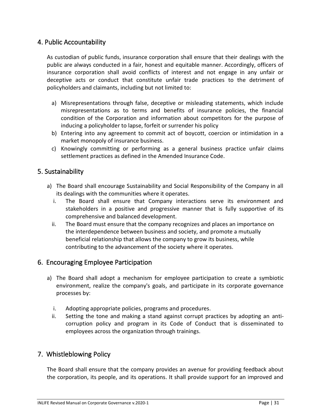### <span id="page-30-0"></span>4. Public Accountability

As custodian of public funds, insurance corporation shall ensure that their dealings with the public are always conducted in a fair, honest and equitable manner. Accordingly, officers of insurance corporation shall avoid conflicts of interest and not engage in any unfair or deceptive acts or conduct that constitute unfair trade practices to the detriment of policyholders and claimants, including but not limited to:

- a) Misrepresentations through false, deceptive or misleading statements, which include misrepresentations as to terms and benefits of insurance policies, the financial condition of the Corporation and information about competitors for the purpose of inducing a policyholder to lapse, forfeit or surrender his policy
- b) Entering into any agreement to commit act of boycott, coercion or intimidation in a market monopoly of insurance business.
- c) Knowingly committing or performing as a general business practice unfair claims settlement practices as defined in the Amended Insurance Code.

### <span id="page-30-1"></span>5. Sustainability

- a) The Board shall encourage Sustainability and Social Responsibility of the Company in all its dealings with the communities where it operates.
	- i. The Board shall ensure that Company interactions serve its environment and stakeholders in a positive and progressive manner that is fully supportive of its comprehensive and balanced development.
	- ii. The Board must ensure that the company recognizes and places an importance on the interdependence between business and society, and promote a mutually beneficial relationship that allows the company to grow its business, while contributing to the advancement of the society where it operates.

### <span id="page-30-2"></span>6. Encouraging Employee Participation

- a) The Board shall adopt a mechanism for employee participation to create a symbiotic environment, realize the company's goals, and participate in its corporate governance processes by:
	- i. Adopting appropriate policies, programs and procedures.
	- ii. Setting the tone and making a stand against corrupt practices by adopting an anticorruption policy and program in its Code of Conduct that is disseminated to employees across the organization through trainings.

### <span id="page-30-3"></span>7. Whistleblowing Policy

The Board shall ensure that the company provides an avenue for providing feedback about the corporation, its people, and its operations. It shall provide support for an improved and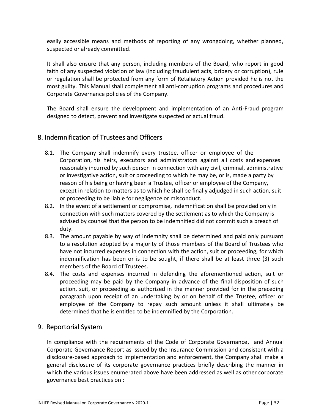easily accessible means and methods of reporting of any wrongdoing, whether planned, suspected or already committed.

It shall also ensure that any person, including members of the Board, who report in good faith of any suspected violation of law (including fraudulent acts, bribery or corruption), rule or regulation shall be protected from any form of Retaliatory Action provided he is not the most guilty. This Manual shall complement all anti-corruption programs and procedures and Corporate Governance policies of the Company.

The Board shall ensure the development and implementation of an Anti-Fraud program designed to detect, prevent and investigate suspected or actual fraud.

### <span id="page-31-0"></span>8. Indemnification of Trustees and Officers

- 8.1. The Company shall indemnify every trustee, officer or employee of the Corporation, his heirs, executors and administrators against all costs and expenses reasonably incurred by such person in connection with any civil, criminal, administrative or investigative action, suit or proceeding to which he may be, or is, made a party by reason of his being or having been a Trustee, officer or employee of the Company, except in relation to matters as to which he shall be finally adjudged in such action, suit or proceeding to be liable for negligence or misconduct.
- 8.2. In the event of a settlement or compromise, indemnification shall be provided only in connection with such matters covered by the settlement as to which the Company is advised by counsel that the person to be indemnified did not commit such a breach of duty.
- 8.3. The amount payable by way of indemnity shall be determined and paid only pursuant to a resolution adopted by a majority of those members of the Board of Trustees who have not incurred expenses in connection with the action, suit or proceeding, for which indemnification has been or is to be sought, if there shall be at least three (3) such members of the Board of Trustees.
- 8.4. The costs and expenses incurred in defending the aforementioned action, suit or proceeding may be paid by the Company in advance of the final disposition of such action, suit, or proceeding as authorized in the manner provided for in the preceding paragraph upon receipt of an undertaking by or on behalf of the Trustee, officer or employee of the Company to repay such amount unless it shall ultimately be determined that he is entitled to be indemnified by the Corporation.

### <span id="page-31-1"></span>9. Reportorial System

In compliance with the requirements of the Code of Corporate Governance, and Annual Corporate Governance Report as issued by the Insurance Commission and consistent with a disclosure-based approach to implementation and enforcement, the Company shall make a general disclosure of its corporate governance practices briefly describing the manner in which the various issues enumerated above have been addressed as well as other corporate governance best practices on :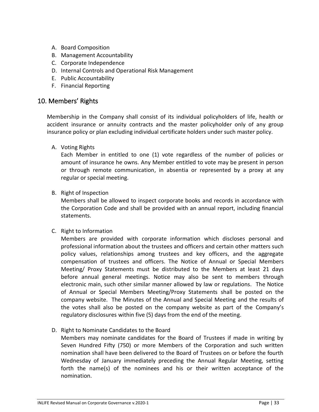- A. Board Composition
- B. Management Accountability
- C. Corporate Independence
- D. Internal Controls and Operational Risk Management
- E. Public Accountability
- F. Financial Reporting

#### <span id="page-32-0"></span>10. Members' Rights

Membership in the Company shall consist of its individual policyholders of life, health or accident insurance or annuity contracts and the master policyholder only of any group insurance policy or plan excluding individual certificate holders under such master policy.

A. Voting Rights

Each Member in entitled to one (1) vote regardless of the number of policies or amount of insurance he owns. Any Member entitled to vote may be present in person or through remote communication, in absentia or represented by a proxy at any regular or special meeting.

B. Right of Inspection

Members shall be allowed to inspect corporate books and records in accordance with the Corporation Code and shall be provided with an annual report, including financial statements.

C. Right to Information

Members are provided with corporate information which discloses personal and professional information about the trustees and officers and certain other matters such policy values, relationships among trustees and key officers, and the aggregate compensation of trustees and officers. The Notice of Annual or Special Members Meeting/ Proxy Statements must be distributed to the Members at least 21 days before annual general meetings. Notice may also be sent to members through electronic main, such other similar manner allowed by law or regulations. The Notice of Annual or Special Members Meeting/Proxy Statements shall be posted on the company website. The Minutes of the Annual and Special Meeting and the results of the votes shall also be posted on the company website as part of the Company's regulatory disclosures within five (5) days from the end of the meeting.

D. Right to Nominate Candidates to the Board

Members may nominate candidates for the Board of Trustees if made in writing by Seven Hundred Fifty (750) or more Members of the Corporation and such written nomination shall have been delivered to the Board of Trustees on or before the fourth Wednesday of January immediately preceding the Annual Regular Meeting, setting forth the name(s) of the nominees and his or their written acceptance of the nomination.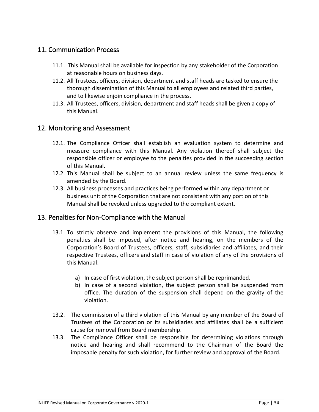### <span id="page-33-0"></span>11. Communication Process

- 11.1. This Manual shall be available for inspection by any stakeholder of the Corporation at reasonable hours on business days.
- 11.2. All Trustees, officers, division, department and staff heads are tasked to ensure the thorough dissemination of this Manual to all employees and related third parties, and to likewise enjoin compliance in the process.
- 11.3. All Trustees, officers, division, department and staff heads shall be given a copy of this Manual.

### <span id="page-33-1"></span>12. Monitoring and Assessment

- 12.1. The Compliance Officer shall establish an evaluation system to determine and measure compliance with this Manual. Any violation thereof shall subject the responsible officer or employee to the penalties provided in the succeeding section of this Manual.
- 12.2. This Manual shall be subject to an annual review unless the same frequency is amended by the Board.
- 12.3. All business processes and practices being performed within any department or business unit of the Corporation that are not consistent with any portion of this Manual shall be revoked unless upgraded to the compliant extent.

### <span id="page-33-2"></span>13. Penalties for Non-Compliance with the Manual

- 13.1. To strictly observe and implement the provisions of this Manual, the following penalties shall be imposed, after notice and hearing, on the members of the Corporation's Board of Trustees, officers, staff, subsidiaries and affiliates, and their respective Trustees, officers and staff in case of violation of any of the provisions of this Manual:
	- a) In case of first violation, the subject person shall be reprimanded.
	- b) In case of a second violation, the subject person shall be suspended from office. The duration of the suspension shall depend on the gravity of the violation.
- 13.2. The commission of a third violation of this Manual by any member of the Board of Trustees of the Corporation or its subsidiaries and affiliates shall be a sufficient cause for removal from Board membership.
- 13.3. The Compliance Officer shall be responsible for determining violations through notice and hearing and shall recommend to the Chairman of the Board the imposable penalty for such violation, for further review and approval of the Board.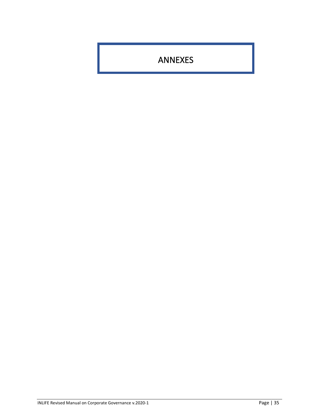<span id="page-34-0"></span>ANNEXES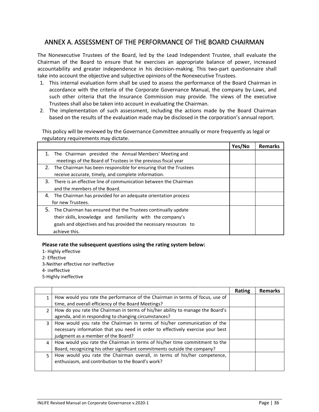### <span id="page-35-0"></span>ANNEX A. ASSESSMENT OF THE PERFORMANCE OF THE BOARD CHAIRMAN

The Nonexecutive Trustees of the Board, led by the Lead Independent Trustee, shall evaluate the Chairman of the Board to ensure that he exercises an appropriate balance of power, increased accountability and greater independence in his decision-making. This two-part questionnaire shall take into account the objective and subjective opinions of the Nonexecutive Trustees.

- 1. This internal evaluation form shall be used to assess the performance of the Board Chairman in accordance with the criteria of the Corporate Governance Manual, the company by-Laws, and such other criteria that the Insurance Commission may provide. The views of the executive Trustees shall also be taken into account in evaluating the Chairman.
- 2. The implementation of such assessment, including the actions made by the Board Chairman based on the results of the evaluation made may be disclosed in the corporation's annual report.

This policy will be reviewed by the Governance Committee annually or more frequently as legal or regulatory requirements may dictate.

|                                                                     | Yes/No | <b>Remarks</b> |
|---------------------------------------------------------------------|--------|----------------|
| 1. The Chairman presided the Annual Members' Meeting and            |        |                |
| meetings of the Board of Trustees in the previous fiscal year       |        |                |
| 2. The Chairman has been responsible for ensuring that the Trustees |        |                |
| receive accurate, timely, and complete information.                 |        |                |
| 3. There is an effective line of communication between the Chairman |        |                |
| and the members of the Board.                                       |        |                |
| 4. The Chairman has provided for an adequate orientation process    |        |                |
| for new Trustees.                                                   |        |                |
| 5. The Chairman has ensured that the Trustees continually update    |        |                |
| their skills, knowledge and familiarity with the company's          |        |                |
| goals and objectives and has provided the necessary resources to    |        |                |
| achieve this.                                                       |        |                |

#### **Please rate the subsequent questions using the rating system below:**

- 1- Highly effective
- 2- Effective
- 3-Neither effective nor ineffective
- 4- ineffective
- 5-Highly ineffective

|              |                                                                                | Rating | <b>Remarks</b> |
|--------------|--------------------------------------------------------------------------------|--------|----------------|
| $\mathbf{1}$ | How would you rate the performance of the Chairman in terms of focus, use of   |        |                |
|              | time, and overall efficiency of the Board Meetings?                            |        |                |
| $\mathbf{2}$ | How do you rate the Chairman in terms of his/her ability to manage the Board's |        |                |
|              | agenda, and in responding to changing circumstances?                           |        |                |
| 3            | How would you rate the Chairman in terms of his/her communication of the       |        |                |
|              | necessary information that you need in order to effectively exercise your best |        |                |
|              | judgment as a member of the Board?                                             |        |                |
| 4            | How would you rate the Chairman in terms of his/her time commitment to the     |        |                |
|              | Board, recognizing his other significant commitments outside the company?      |        |                |
| 5.           | How would you rate the Chairman overall, in terms of his/her competence,       |        |                |
|              | enthusiasm, and contribution to the Board's work?                              |        |                |
|              |                                                                                |        |                |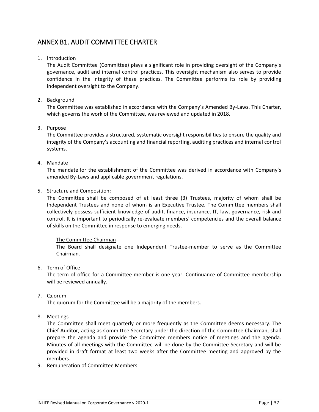### <span id="page-36-0"></span>ANNEX B1. AUDIT COMMITTEE CHARTER

#### 1. Introduction

The Audit Committee (Committee) plays a significant role in providing oversight of the Company's governance, audit and internal control practices. This oversight mechanism also serves to provide confidence in the integrity of these practices. The Committee performs its role by providing independent oversight to the Company.

#### 2. Background

The Committee was established in accordance with the Company's Amended By-Laws. This Charter, which governs the work of the Committee, was reviewed and updated in 2018.

#### 3. Purpose

The Committee provides a structured, systematic oversight responsibilities to ensure the quality and integrity of the Company's accounting and financial reporting, auditing practices and internal control systems.

#### 4. Mandate

The mandate for the establishment of the Committee was derived in accordance with Company's amended By-Laws and applicable government regulations.

5. Structure and Composition:

The Committee shall be composed of at least three (3) Trustees, majority of whom shall be Independent Trustees and none of whom is an Executive Trustee. The Committee members shall collectively possess sufficient knowledge of audit, finance, insurance, IT, law, governance, risk and control. It is important to periodically re-evaluate members' competencies and the overall balance of skills on the Committee in response to emerging needs.

#### The Committee Chairman

The Board shall designate one Independent Trustee-member to serve as the Committee Chairman.

6. Term of Office

The term of office for a Committee member is one year. Continuance of Committee membership will be reviewed annually.

7. Quorum

The quorum for the Committee will be a majority of the members.

8. Meetings

The Committee shall meet quarterly or more frequently as the Committee deems necessary. The Chief Auditor, acting as Committee Secretary under the direction of the Committee Chairman, shall prepare the agenda and provide the Committee members notice of meetings and the agenda. Minutes of all meetings with the Committee will be done by the Committee Secretary and will be provided in draft format at least two weeks after the Committee meeting and approved by the members.

9. Remuneration of Committee Members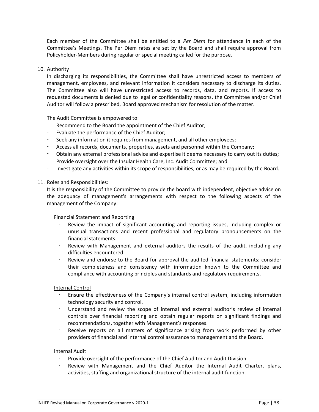Each member of the Committee shall be entitled to a *Per Diem* for attendance in each of the Committee's Meetings. The Per Diem rates are set by the Board and shall require approval from Policyholder-Members during regular or special meeting called for the purpose.

#### 10. Authority

In discharging its responsibilities, the Committee shall have unrestricted access to members of management, employees, and relevant information it considers necessary to discharge its duties. The Committee also will have unrestricted access to records, data, and reports. If access to requested documents is denied due to legal or confidentiality reasons, the Committee and/or Chief Auditor will follow a prescribed, Board approved mechanism for resolution of the matter.

The Audit Committee is empowered to:

- Recommend to the Board the appointment of the Chief Auditor;
- Evaluate the performance of the Chief Auditor;
- Seek any information it requires from management, and all other employees;
- Access all records, documents, properties, assets and personnel within the Company;
- Obtain any external professional advice and expertise it deems necessary to carry out its duties;
- Provide oversight over the Insular Health Care, Inc. Audit Committee; and
- Investigate any activities within its scope of responsibilities, or as may be required by the Board.

#### 11. Roles and Responsibilities:

It is the responsibility of the Committee to provide the board with independent, objective advice on the adequacy of management's arrangements with respect to the following aspects of the management of the Company:

#### Financial Statement and Reporting

- Review the impact of significant accounting and reporting issues, including complex or unusual transactions and recent professional and regulatory pronouncements on the financial statements.
- Review with Management and external auditors the results of the audit, including any difficulties encountered.
- Review and endorse to the Board for approval the audited financial statements; consider their completeness and consistency with information known to the Committee and compliance with accounting principles and standards and regulatory requirements.

#### Internal Control

- Ensure the effectiveness of the Company's internal control system, including information technology security and control.
- Understand and review the scope of internal and external auditor's review of internal controls over financial reporting and obtain regular reports on significant findings and recommendations, together with Management's responses.
- Receive reports on all matters of significance arising from work performed by other providers of financial and internal control assurance to management and the Board.

#### Internal Audit

- Provide oversight of the performance of the Chief Auditor and Audit Division.
- Review with Management and the Chief Auditor the Internal Audit Charter, plans, activities, staffing and organizational structure of the internal audit function.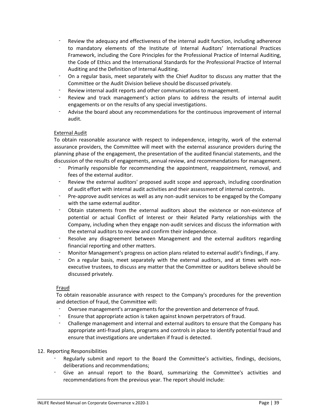- Review the adequacy and effectiveness of the internal audit function, including adherence to mandatory elements of the Institute of Internal Auditors' International Practices Framework, including the Core Principles for the Professional Practice of Internal Auditing, the Code of Ethics and the International Standards for the Professional Practice of Internal Auditing and the Definition of Internal Auditing.
- On a regular basis, meet separately with the Chief Auditor to discuss any matter that the Committee or the Audit Division believe should be discussed privately.
- Review internal audit reports and other communications to management.
- Review and track management's action plans to address the results of internal audit engagements or on the results of any special investigations.
- Advise the board about any recommendations for the continuous improvement of internal audit.

#### External Audit

To obtain reasonable assurance with respect to independence, integrity, work of the external assurance providers, the Committee will meet with the external assurance providers during the planning phase of the engagement, the presentation of the audited financial statements, and the discussion of the results of engagements, annual review, and recommendations for management.

- Primarily responsible for recommending the appointment, reappointment, removal, and fees of the external auditor.
- Review the external auditors' proposed audit scope and approach, including coordination of audit effort with internal audit activities and their assessment of internal controls.
- Pre-approve audit services as well as any non-audit services to be engaged by the Company with the same external auditor.
- Obtain statements from the external auditors about the existence or non-existence of potential or actual Conflict of Interest or their Related Party relationships with the Company, including when they engage non-audit services and discuss the information with the external auditors to review and confirm their independence.
- Resolve any disagreement between Management and the external auditors regarding financial reporting and other matters.
- Monitor Management's progress on action plans related to external audit's findings, if any.
- On a regular basis, meet separately with the external auditors, and at times with nonexecutive trustees, to discuss any matter that the Committee or auditors believe should be discussed privately.

#### Fraud

To obtain reasonable assurance with respect to the Company's procedures for the prevention and detection of fraud, the Committee will:

- Oversee management's arrangements for the prevention and deterrence of fraud.
- Ensure that appropriate action is taken against known perpetrators of fraud.
- Challenge management and internal and external auditors to ensure that the Company has appropriate anti-fraud plans, programs and controls in place to identify potential fraud and ensure that investigations are undertaken if fraud is detected.

#### 12. Reporting Responsibilities

- Regularly submit and report to the Board the Committee's activities, findings, decisions, deliberations and recommendations;
- Give an annual report to the Board, summarizing the Committee's activities and recommendations from the previous year. The report should include: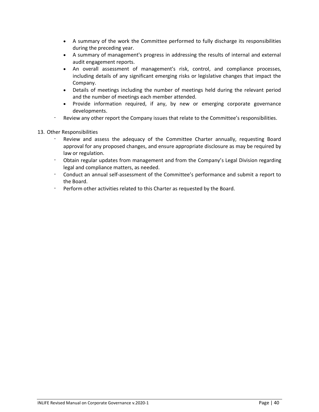- A summary of the work the Committee performed to fully discharge its responsibilities during the preceding year.
- A summary of management's progress in addressing the results of internal and external audit engagement reports.
- An overall assessment of management's risk, control, and compliance processes, including details of any significant emerging risks or legislative changes that impact the Company.
- Details of meetings including the number of meetings held during the relevant period and the number of meetings each member attended.
- Provide information required, if any, by new or emerging corporate governance developments.
- Review any other report the Company issues that relate to the Committee's responsibilities.
- 13. Other Responsibilities
	- Review and assess the adequacy of the Committee Charter annually, requesting Board approval for any proposed changes, and ensure appropriate disclosure as may be required by law or regulation.
	- Obtain regular updates from management and from the Company's Legal Division regarding legal and compliance matters, as needed.
	- Conduct an annual self-assessment of the Committee's performance and submit a report to the Board.
	- Perform other activities related to this Charter as requested by the Board.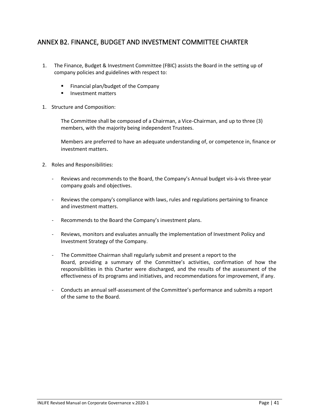### <span id="page-40-0"></span>ANNEX B2. FINANCE, BUDGET AND INVESTMENT COMMITTEE CHARTER

- 1. The Finance, Budget & Investment Committee (FBIC) assists the Board in the setting up of company policies and guidelines with respect to:
	- Financial plan/budget of the Company
	- Investment matters
- 1. Structure and Composition:

The Committee shall be composed of a Chairman, a Vice-Chairman, and up to three (3) members, with the majority being independent Trustees.

Members are preferred to have an adequate understanding of, or competence in, finance or investment matters.

- 2. Roles and Responsibilities:
	- Reviews and recommends to the Board, the Company's Annual budget vis-à-vis three-year company goals and objectives.
	- Reviews the company's compliance with laws, rules and regulations pertaining to finance and investment matters.
	- Recommends to the Board the Company's investment plans.
	- Reviews, monitors and evaluates annually the implementation of Investment Policy and Investment Strategy of the Company.
	- The Committee Chairman shall regularly submit and present a report to the Board, providing a summary of the Committee's activities, confirmation of how the responsibilities in this Charter were discharged, and the results of the assessment of the effectiveness of its programs and initiatives, and recommendations for improvement, if any.
	- Conducts an annual self-assessment of the Committee's performance and submits a report of the same to the Board.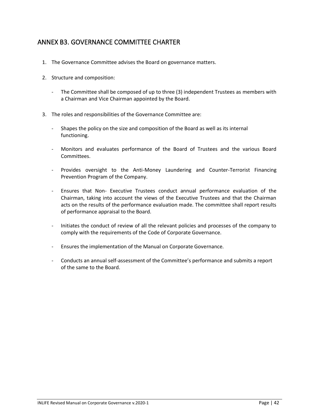### <span id="page-41-0"></span>ANNEX B3. GOVERNANCE COMMITTEE CHARTER

- 1. The Governance Committee advises the Board on governance matters.
- 2. Structure and composition:
	- The Committee shall be composed of up to three (3) independent Trustees as members with a Chairman and Vice Chairman appointed by the Board.
- 3. The roles and responsibilities of the Governance Committee are:
	- Shapes the policy on the size and composition of the Board as well as its internal functioning.
	- Monitors and evaluates performance of the Board of Trustees and the various Board Committees.
	- Provides oversight to the Anti-Money Laundering and Counter-Terrorist Financing Prevention Program of the Company.
	- Ensures that Non- Executive Trustees conduct annual performance evaluation of the Chairman, taking into account the views of the Executive Trustees and that the Chairman acts on the results of the performance evaluation made. The committee shall report results of performance appraisal to the Board.
	- Initiates the conduct of review of all the relevant policies and processes of the company to comply with the requirements of the Code of Corporate Governance.
	- Ensures the implementation of the Manual on Corporate Governance.
	- Conducts an annual self-assessment of the Committee's performance and submits a report of the same to the Board.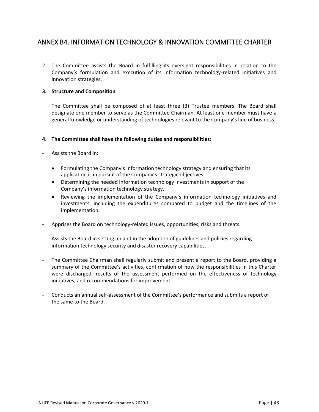### <span id="page-42-0"></span>ANNEX B4. INFORMATION TECHNOLOGY & INNOVATION COMMITTEE CHARTER

2. The Committee assists the Board in fulfilling its oversight responsibilities in relation to the Company's formulation and execution of its information technology-related initiatives and innovation strategies.

#### **3. Structure and Composition**

The Committee shall be composed of at least three (3) Trustee members. The Board shall designate one member to serve as the Committee Chairman. At least one member must have a general knowledge or understanding of technologies relevant to the Company's line of business.

#### **4. The Committee shall have the following duties and responsibilities:**

- Assists the Board in:
	- Formulating the Company's information technology strategy and ensuring that its application is in pursuit of the Company's strategic objectives.
	- Determining the needed information technology investments in support of the Company's information technology strategy.
	- Reviewing the implementation of the Company's information technology initiatives and investments, including the expenditures compared to budget and the timelines of the implementation.
- Apprises the Board on technology-related issues, opportunities, risks and threats.
- Assists the Board in setting up and in the adoption of guidelines and policies regarding information technology security and disaster recovery capabilities.
- The Committee Chairman shall regularly submit and present a report to the Board, providing a summary of the Committee's activities, confirmation of how the responsibilities in this Charter were discharged, results of the assessment performed on the effectiveness of technology initiatives, and recommendations for improvement.
- Conducts an annual self-assessment of the Committee's performance and submits a report of the same to the Board.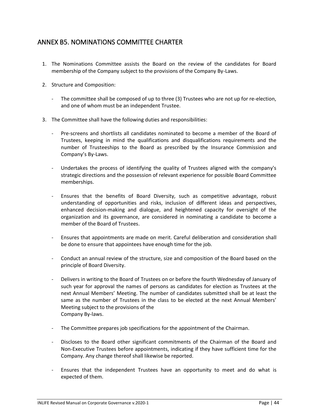### <span id="page-43-0"></span>ANNEX B5. NOMINATIONS COMMITTEE CHARTER

- 1. The Nominations Committee assists the Board on the review of the candidates for Board membership of the Company subject to the provisions of the Company By-Laws.
- 2. Structure and Composition:
	- The committee shall be composed of up to three (3) Trustees who are not up for re-election, and one of whom must be an independent Trustee.
- 3. The Committee shall have the following duties and responsibilities:
	- Pre-screens and shortlists all candidates nominated to become a member of the Board of Trustees, keeping in mind the qualifications and disqualifications requirements and the number of Trusteeships to the Board as prescribed by the Insurance Commission and Company's By-Laws.
	- Undertakes the process of identifying the quality of Trustees aligned with the company's strategic directions and the possession of relevant experience for possible Board Committee memberships.
	- Ensures that the benefits of Board Diversity, such as competitive advantage, robust understanding of opportunities and risks, inclusion of different ideas and perspectives, enhanced decision-making and dialogue, and heightened capacity for oversight of the organization and its governance, are considered in nominating a candidate to become a member of the Board of Trustees.
	- Ensures that appointments are made on merit. Careful deliberation and consideration shall be done to ensure that appointees have enough time for the job.
	- Conduct an annual review of the structure, size and composition of the Board based on the principle of Board Diversity.
	- Delivers in writing to the Board of Trustees on or before the fourth Wednesday of January of such year for approval the names of persons as candidates for election as Trustees at the next Annual Members' Meeting. The number of candidates submitted shall be at least the same as the number of Trustees in the class to be elected at the next Annual Members' Meeting subject to the provisions of the Company By-laws.
	- The Committee prepares job specifications for the appointment of the Chairman.
	- Discloses to the Board other significant commitments of the Chairman of the Board and Non-Executive Trustees before appointments, indicating if they have sufficient time for the Company. Any change thereof shall likewise be reported.
	- Ensures that the independent Trustees have an opportunity to meet and do what is expected of them.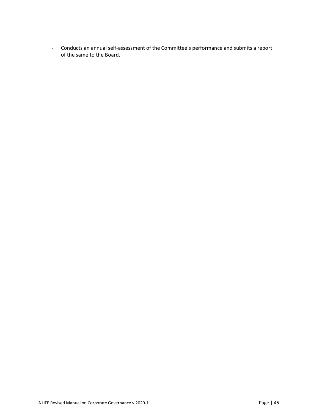- Conducts an annual self-assessment of the Committee's performance and submits a report of the same to the Board.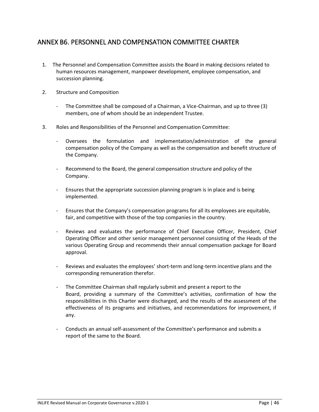### <span id="page-45-0"></span>ANNEX B6. PERSONNEL AND COMPENSATION COMMITTEE CHARTER

- 1. The Personnel and Compensation Committee assists the Board in making decisions related to human resources management, manpower development, employee compensation, and succession planning.
- 2. Structure and Composition
	- The Committee shall be composed of a Chairman, a Vice-Chairman, and up to three (3) members, one of whom should be an independent Trustee.
- 3. Roles and Responsibilities of the Personnel and Compensation Committee:
	- Oversees the formulation and implementation/administration of the general compensation policy of the Company as well as the compensation and benefit structure of the Company.
	- Recommend to the Board, the general compensation structure and policy of the Company.
	- Ensures that the appropriate succession planning program is in place and is being implemented.
	- Ensures that the Company's compensation programs for all its employees are equitable, fair, and competitive with those of the top companies in the country.
	- Reviews and evaluates the performance of Chief Executive Officer, President, Chief Operating Officer and other senior management personnel consisting of the Heads of the various Operating Group and recommends their annual compensation package for Board approval.
	- Reviews and evaluates the employees' short-term and long-term incentive plans and the corresponding remuneration therefor.
	- The Committee Chairman shall regularly submit and present a report to the Board, providing a summary of the Committee's activities, confirmation of how the responsibilities in this Charter were discharged, and the results of the assessment of the effectiveness of its programs and initiatives, and recommendations for improvement, if any.
	- Conducts an annual self-assessment of the Committee's performance and submits a report of the same to the Board.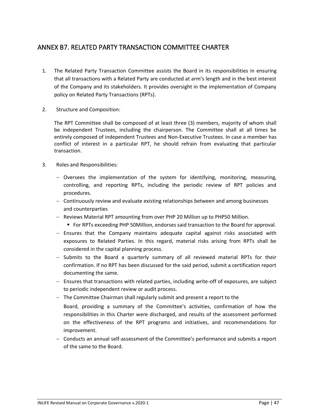### <span id="page-46-0"></span>ANNEX B7. RELATED PARTY TRANSACTION COMMITTEE CHARTER

- 1. The Related Party Transaction Committee assists the Board in its responsibilities in ensuring that all transactions with a Related Party are conducted at arm's length and in the best interest of the Company and its stakeholders. It provides oversight in the implementation of Company policy on Related Party Transactions (RPTs).
- 2. Structure and Composition:

The RPT Committee shall be composed of at least three (3) members, majority of whom shall be independent Trustees, including the chairperson. The Committee shall at all times be entirely composed of independent Trustees and Non-Executive Trustees. In case a member has conflict of interest in a particular RPT, he should refrain from evaluating that particular transaction.

- 3. Roles and Responsibilities:
	- − Oversees the implementation of the system for identifying, monitoring, measuring, controlling, and reporting RPTs, including the periodic review of RPT policies and procedures.
	- − Continuously review and evaluate existing relationships between and among businesses and counterparties
	- − Reviews Material RPT amounting from over PHP 20 Million up to PHP50 Million.
		- For RPTs exceeding PHP 50Million, endorses said transaction to the Board for approval.
	- − Ensures that the Company maintains adequate capital against risks associated with exposures to Related Parties. In this regard, material risks arising from RPTs shall be considered in the capital planning process.
	- − Submits to the Board a quarterly summary of all reviewed material RPTs for their confirmation. If no RPT has been discussed for the said period, submit a certification report documenting the same.
	- − Ensures that transactions with related parties, including write-off of exposures, are subject to periodic independent review or audit process.
	- − The Committee Chairman shall regularly submit and present a report to the Board, providing a summary of the Committee's activities, confirmation of how the responsibilities in this Charter were discharged, and results of the assessment performed on the effectiveness of the RPT programs and initiatives, and recommendations for improvement.
	- − Conducts an annual self-assessment of the Committee's performance and submits a report of the same to the Board.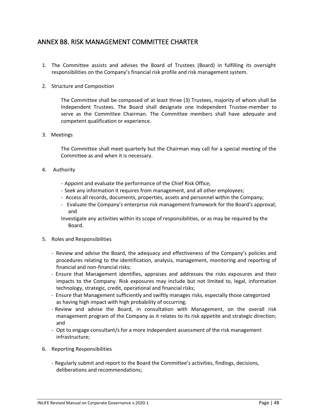### <span id="page-47-0"></span>ANNEX B8. RISK MANAGEMENT COMMITTEE CHARTER

- 1. The Committee assists and advises the Board of Trustees (Board) in fulfilling its oversight responsibilities on the Company's financial risk profile and risk management system.
- 2. Structure and Composition

The Committee shall be composed of at least three (3) Trustees, majority of whom shall be Independent Trustees. The Board shall designate one Independent Trustee-member to serve as the Committee Chairman. The Committee members shall have adequate and competent qualification or experience.

3. Meetings

The Committee shall meet quarterly but the Chairman may call for a special meeting of the Committee as and when it is necessary.

- 4. Authority
	- Appoint and evaluate the performance of the Chief Risk Office;
	- Seek any information it requires from management, and all other employees;
	- Access all records, documents, properties, assets and personnel within the Company;
	- Evaluate the Company's enterprise risk management framework for the Board's approval; and

Investigate any activities within its scope of responsibilities, or as may be required by the Board.

- 5. Roles and Responsibilities
	- Review and advise the Board, the adequacy and effectiveness of the Company's policies and procedures relating to the identification, analysis, management, monitoring and reporting of financial and non-financial risks;
	- Ensure that Management identifies, appraises and addresses the risks exposures and their impacts to the Company. Risk exposures may include but not limited to, legal, information technology, strategic, credit, operational and financial risks;
	- Ensure that Management sufficiently and swiftly manages risks, especially those categorized as having high impact with high probability of occurring;
	- Review and advise the Board, in consultation with Management, on the overall risk management program of the Company as it relates to its risk appetite and strategic direction; and
	- Opt to engage consultant/s for a more independent assessment of the risk management infrastructure;
- 6. Reporting Responsibilities
	- Regularly submit and report to the Board the Committee's activities, findings, decisions, deliberations and recommendations;